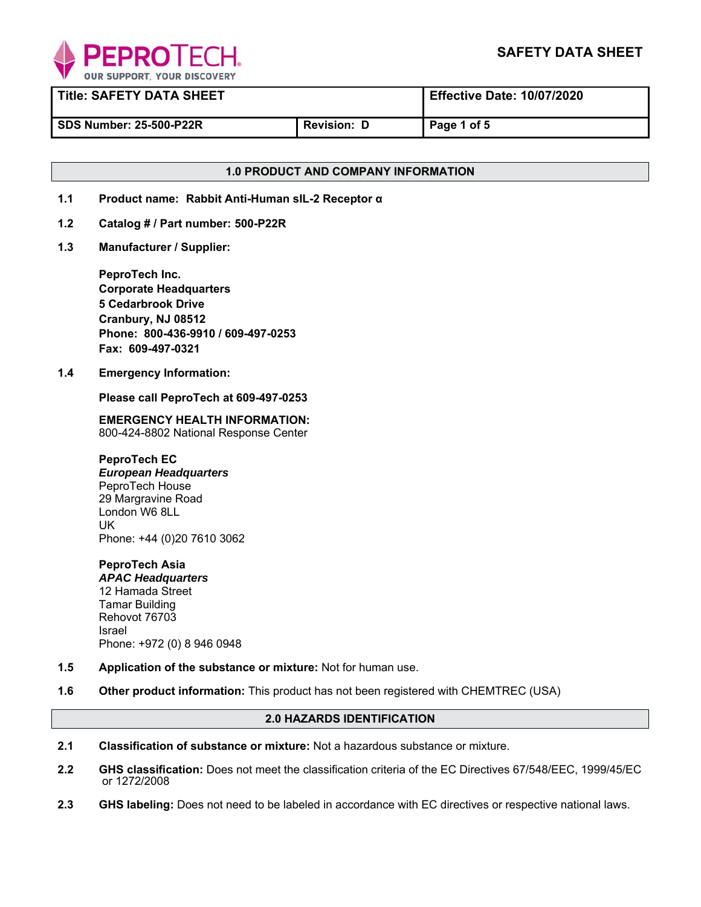

| <b>Title: SAFETY DATA SHEET</b> |                    | <b>Effective Date: 10/07/2020</b> |
|---------------------------------|--------------------|-----------------------------------|
| <b>SDS Number: 25-500-P22R</b>  | <b>Revision: D</b> | Page 1 of 5                       |

# **1.0 PRODUCT AND COMPANY INFORMATION**

- **1.1 Product name: Rabbit Anti-Human sIL-2 Receptor α**
- **1.2 Catalog # / Part number: 500-P22R**
- **1.3 Manufacturer / Supplier:**

**PeproTech Inc. Corporate Headquarters 5 Cedarbrook Drive Cranbury, NJ 08512 Phone: 800-436-9910 / 609-497-0253 Fax: 609-497-0321** 

**1.4 Emergency Information:** 

 **Please call PeproTech at 609-497-0253** 

**EMERGENCY HEALTH INFORMATION:** 800-424-8802 National Response Center

**PeproTech EC**  *European Headquarters* PeproTech House 29 Margravine Road London W6 8LL UK Phone: +44 (0)20 7610 3062

**PeproTech Asia**  *APAC Headquarters* 12 Hamada Street Tamar Building Rehovot 76703 Israel Phone: +972 (0) 8 946 0948

- **1.5 Application of the substance or mixture:** Not for human use.
- **1.6 Other product information:** This product has not been registered with CHEMTREC (USA)

# **2.0 HAZARDS IDENTIFICATION**

- **2.1 Classification of substance or mixture:** Not a hazardous substance or mixture.
- **2.2 GHS classification:** Does not meet the classification criteria of the EC Directives 67/548/EEC, 1999/45/EC or 1272/2008
- **2.3 GHS labeling:** Does not need to be labeled in accordance with EC directives or respective national laws.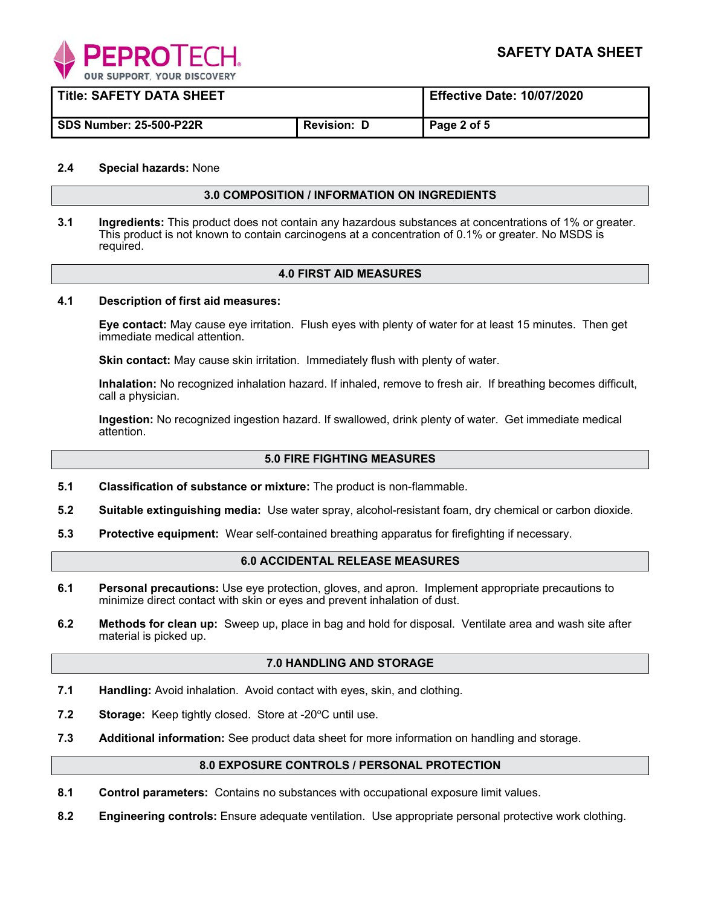

| <b>Title: SAFETY DATA SHEET</b> |                    | <b>Effective Date: 10/07/2020</b> |
|---------------------------------|--------------------|-----------------------------------|
| <b>SDS Number: 25-500-P22R</b>  | <b>Revision: D</b> | Page 2 of 5                       |

## **2.4 Special hazards:** None

#### **3.0 COMPOSITION / INFORMATION ON INGREDIENTS**

**3.1 Ingredients:** This product does not contain any hazardous substances at concentrations of 1% or greater. This product is not known to contain carcinogens at a concentration of 0.1% or greater. No MSDS is required.

## **4.0 FIRST AID MEASURES**

#### **4.1 Description of first aid measures:**

**Eye contact:** May cause eye irritation. Flush eyes with plenty of water for at least 15 minutes. Then get immediate medical attention.

**Skin contact:** May cause skin irritation. Immediately flush with plenty of water.

**Inhalation:** No recognized inhalation hazard. If inhaled, remove to fresh air. If breathing becomes difficult, call a physician.

**Ingestion:** No recognized ingestion hazard. If swallowed, drink plenty of water. Get immediate medical attention.

#### **5.0 FIRE FIGHTING MEASURES**

- **5.1 Classification of substance or mixture:** The product is non-flammable.
- **5.2 Suitable extinguishing media:** Use water spray, alcohol-resistant foam, dry chemical or carbon dioxide.
- **5.3 Protective equipment:** Wear self-contained breathing apparatus for firefighting if necessary.

## **6.0 ACCIDENTAL RELEASE MEASURES**

- **6.1 Personal precautions:** Use eye protection, gloves, and apron. Implement appropriate precautions to minimize direct contact with skin or eyes and prevent inhalation of dust.
- **6.2 Methods for clean up:** Sweep up, place in bag and hold for disposal. Ventilate area and wash site after material is picked up.

#### **7.0 HANDLING AND STORAGE**

- **7.1 Handling:** Avoid inhalation. Avoid contact with eyes, skin, and clothing.
- **7.2** Storage: Keep tightly closed. Store at -20°C until use.
- **7.3 Additional information:** See product data sheet for more information on handling and storage.

#### **8.0 EXPOSURE CONTROLS / PERSONAL PROTECTION**

- **8.1 Control parameters:** Contains no substances with occupational exposure limit values.
- **8.2 Engineering controls:** Ensure adequate ventilation. Use appropriate personal protective work clothing.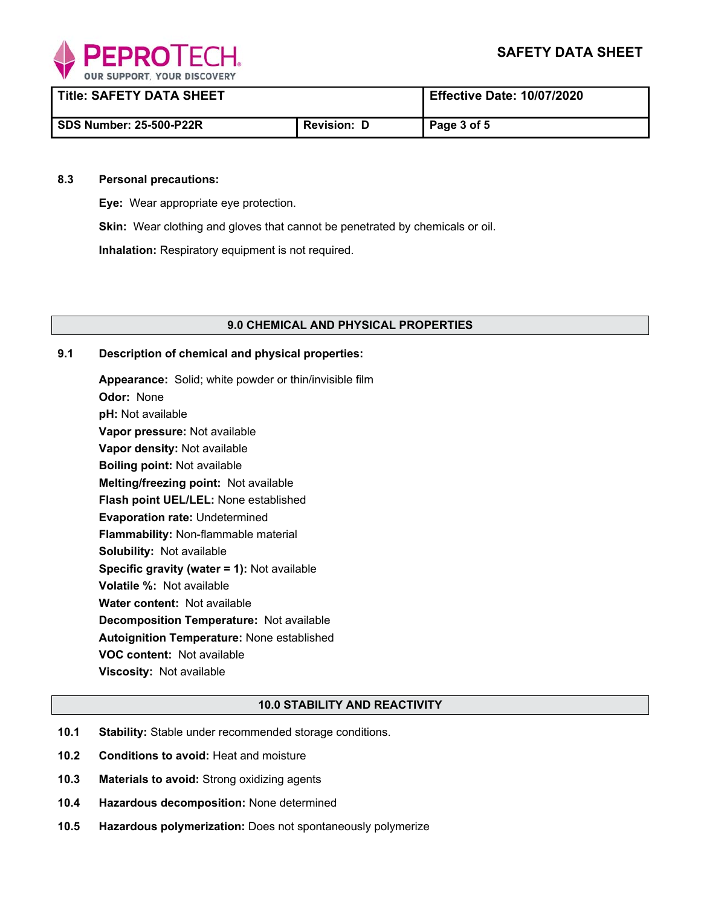

| <b>Title: SAFETY DATA SHEET</b> |                    | <b>Effective Date: 10/07/2020</b> |
|---------------------------------|--------------------|-----------------------------------|
| <b>SDS Number: 25-500-P22R</b>  | <b>Revision: D</b> | Page 3 of 5                       |

#### **8.3 Personal precautions:**

**Eye:** Wear appropriate eye protection.

**Skin:** Wear clothing and gloves that cannot be penetrated by chemicals or oil.

**Inhalation:** Respiratory equipment is not required.

## **9.0 CHEMICAL AND PHYSICAL PROPERTIES**

## **9.1 Description of chemical and physical properties:**

**Appearance:** Solid; white powder or thin/invisible film **Odor:** None **pH:** Not available **Vapor pressure:** Not available **Vapor density:** Not available **Boiling point:** Not available **Melting/freezing point:** Not available **Flash point UEL/LEL:** None established **Evaporation rate:** Undetermined **Flammability:** Non-flammable material **Solubility:** Not available **Specific gravity (water = 1):** Not available **Volatile %:** Not available **Water content:** Not available **Decomposition Temperature:** Not available **Autoignition Temperature:** None established **VOC content:** Not available **Viscosity:** Not available

## **10.0 STABILITY AND REACTIVITY**

- **10.1 Stability:** Stable under recommended storage conditions.
- **10.2 Conditions to avoid:** Heat and moisture
- **10.3 Materials to avoid:** Strong oxidizing agents
- **10.4 Hazardous decomposition:** None determined
- **10.5 Hazardous polymerization:** Does not spontaneously polymerize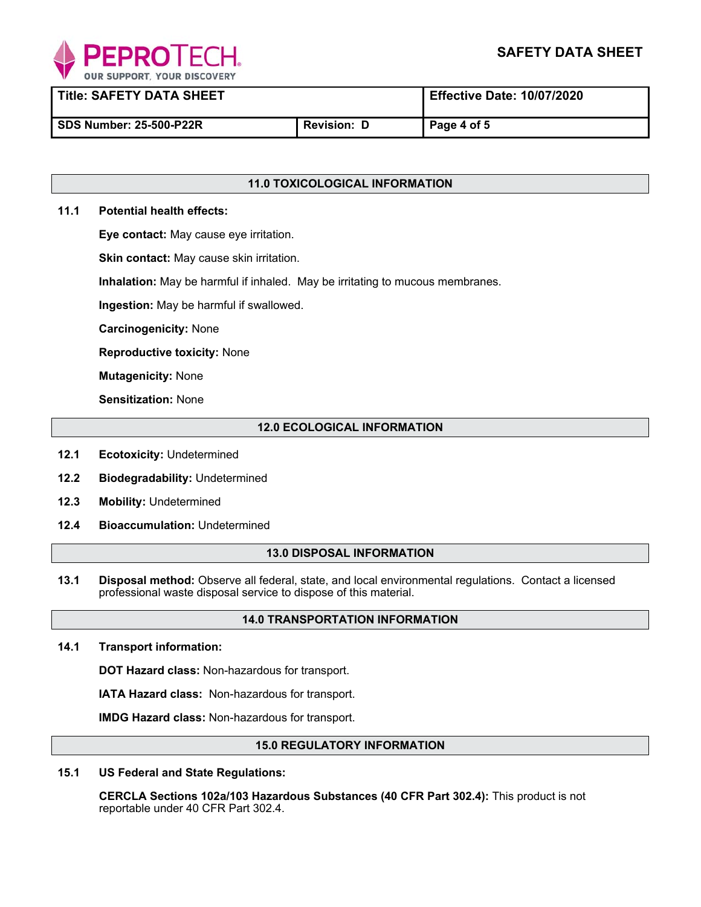

**Title: SAFETY DATA SHEET Effective Date: 10/07/2020** 

SDS Number: 25-500-P22R **Revision: D** Page 4 of 5

# **11.0 TOXICOLOGICAL INFORMATION**

## **11.1 Potential health effects:**

**Eye contact:** May cause eye irritation.

**Skin contact:** May cause skin irritation.

**Inhalation:** May be harmful if inhaled. May be irritating to mucous membranes.

**Ingestion:** May be harmful if swallowed.

**Carcinogenicity:** None

**Reproductive toxicity:** None

**Mutagenicity:** None

**Sensitization:** None

# **12.0 ECOLOGICAL INFORMATION**

- **12.1 Ecotoxicity:** Undetermined
- **12.2 Biodegradability:** Undetermined
- $12.3$ **Mobility: Undetermined**
- **12.4 Bioaccumulation:** Undetermined

## **13.0 DISPOSAL INFORMATION**

**13.1 Disposal method:** Observe all federal, state, and local environmental regulations. Contact a licensed professional waste disposal service to dispose of this material.

# **14.0 TRANSPORTATION INFORMATION**

**14.1 Transport information:** 

**DOT Hazard class:** Non-hazardous for transport.

**IATA Hazard class:** Non-hazardous for transport.

**IMDG Hazard class:** Non-hazardous for transport.

## **15.0 REGULATORY INFORMATION**

**15.1 US Federal and State Regulations:** 

 **CERCLA Sections 102a/103 Hazardous Substances (40 CFR Part 302.4):** This product is not reportable under 40 CFR Part 302.4.